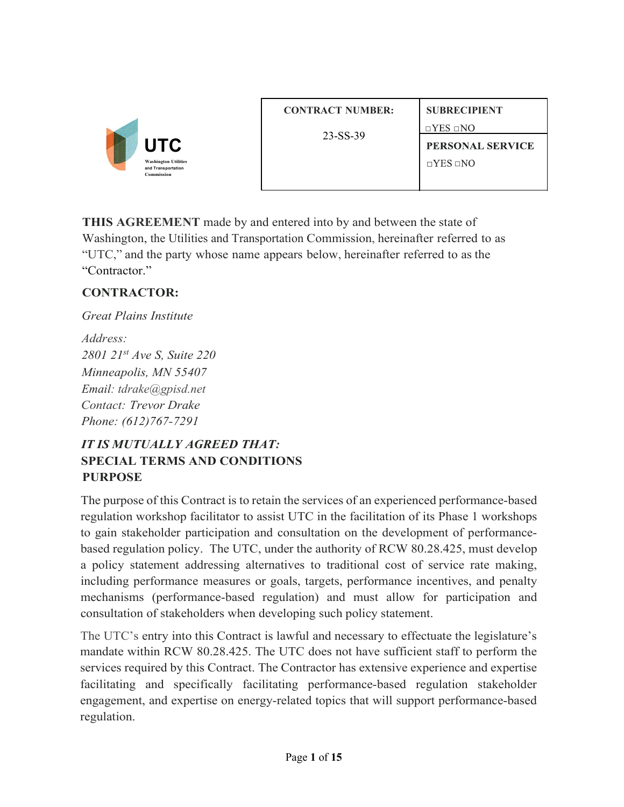

| <b>CONTRACT NUMBER:</b> | <b>SUBRECIPIENT</b>     |
|-------------------------|-------------------------|
| 23-SS-39                | $\Box$ YES $\Box$ NO    |
|                         | <b>PERSONAL SERVICE</b> |
|                         | $\Box$ YES $\Box$ NO    |
|                         |                         |

**THIS AGREEMENT** made by and entered into by and between the state of Washington, the Utilities and Transportation Commission, hereinafter referred to as "UTC," and the party whose name appears below, hereinafter referred to as the "Contractor."

## **CONTRACTOR:**

*Great Plains Institute Address: 2801 21st Ave S, Suite 220 Minneapolis, MN 55407 Email: tdrake@gpisd.net Contact: Trevor Drake Phone: (612)767-7291*

# *IT IS MUTUALLY AGREED THAT:* **SPECIAL TERMS AND CONDITIONS PURPOSE**

The purpose of this Contract is to retain the services of an experienced performance-based regulation workshop facilitator to assist UTC in the facilitation of its Phase 1 workshops to gain stakeholder participation and consultation on the development of performancebased regulation policy. The UTC, under the authority of RCW 80.28.425, must develop a policy statement addressing alternatives to traditional cost of service rate making, including performance measures or goals, targets, performance incentives, and penalty mechanisms (performance-based regulation) and must allow for participation and consultation of stakeholders when developing such policy statement.

The UTC's entry into this Contract is lawful and necessary to effectuate the legislature's mandate within RCW 80.28.425. The UTC does not have sufficient staff to perform the services required by this Contract. The Contractor has extensive experience and expertise facilitating and specifically facilitating performance-based regulation stakeholder engagement, and expertise on energy-related topics that will support performance-based regulation.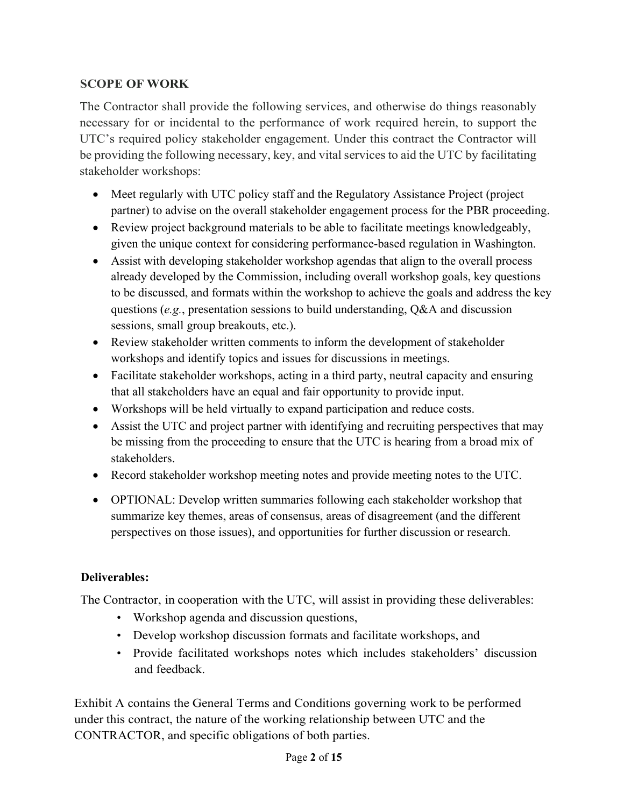## **SCOPE OF WORK**

The Contractor shall provide the following services, and otherwise do things reasonably necessary for or incidental to the performance of work required herein, to support the UTC's required policy stakeholder engagement. Under this contract the Contractor will be providing the following necessary, key, and vital services to aid the UTC by facilitating stakeholder workshops:

- Meet regularly with UTC policy staff and the Regulatory Assistance Project (project partner) to advise on the overall stakeholder engagement process for the PBR proceeding.
- Review project background materials to be able to facilitate meetings knowledgeably, given the unique context for considering performance-based regulation in Washington.
- Assist with developing stakeholder workshop agendas that align to the overall process already developed by the Commission, including overall workshop goals, key questions to be discussed, and formats within the workshop to achieve the goals and address the key questions (*e.g.*, presentation sessions to build understanding, Q&A and discussion sessions, small group breakouts, etc.).
- Review stakeholder written comments to inform the development of stakeholder workshops and identify topics and issues for discussions in meetings.
- Facilitate stakeholder workshops, acting in a third party, neutral capacity and ensuring that all stakeholders have an equal and fair opportunity to provide input.
- Workshops will be held virtually to expand participation and reduce costs.
- Assist the UTC and project partner with identifying and recruiting perspectives that may be missing from the proceeding to ensure that the UTC is hearing from a broad mix of stakeholders.
- Record stakeholder workshop meeting notes and provide meeting notes to the UTC.
- OPTIONAL: Develop written summaries following each stakeholder workshop that summarize key themes, areas of consensus, areas of disagreement (and the different perspectives on those issues), and opportunities for further discussion or research.

### **Deliverables:**

The Contractor, in cooperation with the UTC, will assist in providing these deliverables:

- Workshop agenda and discussion questions,
- Develop workshop discussion formats and facilitate workshops, and
- Provide facilitated workshops notes which includes stakeholders' discussion and feedback.

Exhibit A contains the General Terms and Conditions governing work to be performed under this contract, the nature of the working relationship between UTC and the CONTRACTOR, and specific obligations of both parties.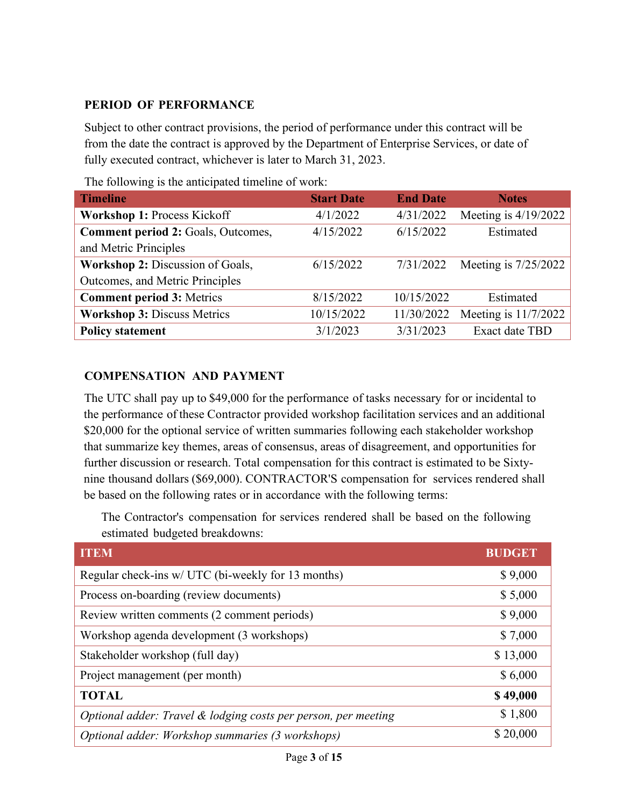#### **PERIOD OF PERFORMANCE**

Subject to other contract provisions, the period of performance under this contract will be from the date the contract is approved by the Department of Enterprise Services, or date of fully executed contract, whichever is later to March 31, 2023.

| <b>Timeline</b>                    | <b>Start Date</b> | <b>End Date</b> | <b>Notes</b>           |
|------------------------------------|-------------------|-----------------|------------------------|
| Workshop 1: Process Kickoff        | 4/1/2022          | 4/31/2022       | Meeting is $4/19/2022$ |
| Comment period 2: Goals, Outcomes, | 4/15/2022         | 6/15/2022       | Estimated              |
| and Metric Principles              |                   |                 |                        |
| Workshop 2: Discussion of Goals,   | 6/15/2022         | 7/31/2022       | Meeting is $7/25/2022$ |
| Outcomes, and Metric Principles    |                   |                 |                        |
| <b>Comment period 3: Metrics</b>   | 8/15/2022         | 10/15/2022      | Estimated              |
| <b>Workshop 3: Discuss Metrics</b> | 10/15/2022        | 11/30/2022      | Meeting is 11/7/2022   |
| <b>Policy statement</b>            | 3/1/2023          | 3/31/2023       | Exact date TBD         |

The following is the anticipated timeline of work:

#### **COMPENSATION AND PAYMENT**

The UTC shall pay up to \$49,000 for the performance of tasks necessary for or incidental to the performance of these Contractor provided workshop facilitation services and an additional \$20,000 for the optional service of written summaries following each stakeholder workshop that summarize key themes, areas of consensus, areas of disagreement, and opportunities for further discussion or research. Total compensation for this contract is estimated to be Sixtynine thousand dollars (\$69,000). CONTRACTOR'S compensation for services rendered shall be based on the following rates or in accordance with the following terms:

The Contractor's compensation for services rendered shall be based on the following estimated budgeted breakdowns:

| <b>ITEM</b>                                                       | <b>BUDGET</b> |
|-------------------------------------------------------------------|---------------|
| Regular check-ins w/ UTC (bi-weekly for 13 months)                | \$9,000       |
| Process on-boarding (review documents)                            | \$5,000       |
| Review written comments (2 comment periods)                       | \$9,000       |
| Workshop agenda development (3 workshops)                         | \$7,000       |
| Stakeholder workshop (full day)                                   | \$13,000      |
| Project management (per month)                                    | \$6,000       |
| <b>TOTAL</b>                                                      | \$49,000      |
| Optional adder: Travel $\&$ lodging costs per person, per meeting | \$1,800       |
| Optional adder: Workshop summaries (3 workshops)                  | \$20,000      |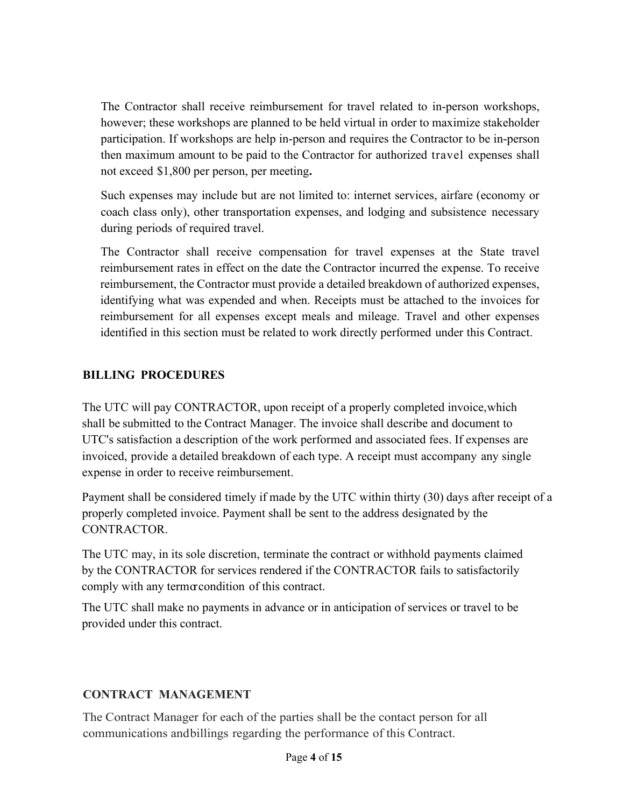The Contractor shall receive reimbursement for travel related to in-person workshops, however; these workshops are planned to be held virtual in order to maximize stakeholder participation. If workshops are help in-person and requires the Contractor to be in-person then maximum amount to be paid to the Contractor for authorized travel expenses shall not exceed \$1,800 per person, per meeting**.**

Such expenses may include but are not limited to: internet services, airfare (economy or coach class only), other transportation expenses, and lodging and subsistence necessary during periods of required travel.

The Contractor shall receive compensation for travel expenses at the State travel reimbursement rates in effect on the date the Contractor incurred the expense. To receive reimbursement, the Contractor must provide a detailed breakdown of authorized expenses, identifying what was expended and when. Receipts must be attached to the invoices for reimbursement for all expenses except meals and mileage. Travel and other expenses identified in this section must be related to work directly performed under this Contract.

#### **BILLING PROCEDURES**

The UTC will pay CONTRACTOR, upon receipt of a properly completed invoice,which shall be submitted to the Contract Manager. The invoice shall describe and document to UTC's satisfaction a description of the work performed and associated fees. If expenses are invoiced, provide a detailed breakdown of each type. A receipt must accompany any single expense in order to receive reimbursement.

Payment shall be considered timely if made by the UTC within thirty (30) days after receipt of a properly completed invoice. Payment shall be sent to the address designated by the CONTRACTOR.

The UTC may, in its sole discretion, terminate the contract or withhold payments claimed by the CONTRACTOR for services rendered if the CONTRACTOR fails to satisfactorily comply with any termorcondition of this contract.

The UTC shall make no payments in advance or in anticipation of services or travel to be provided under this contract.

### **CONTRACT MANAGEMENT**

The Contract Manager for each of the parties shall be the contact person for all communications andbillings regarding the performance of this Contract.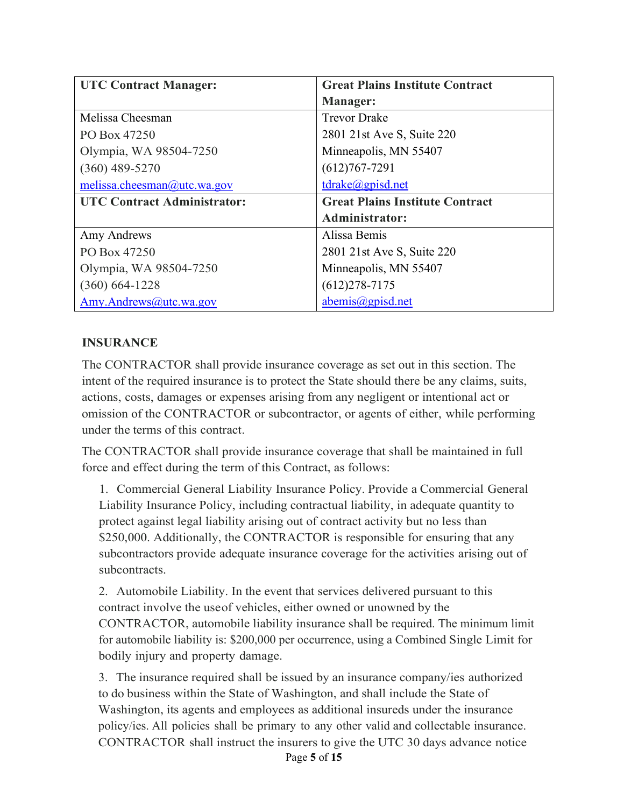| <b>UTC Contract Manager:</b>       | <b>Great Plains Institute Contract</b> |
|------------------------------------|----------------------------------------|
|                                    | <b>Manager:</b>                        |
| Melissa Cheesman                   | <b>Trevor Drake</b>                    |
| PO Box 47250                       | 2801 21st Ave S, Suite 220             |
| Olympia, WA 98504-7250             | Minneapolis, MN 55407                  |
| $(360)$ 489-5270                   | $(612)767 - 7291$                      |
| melissa.cheesman@utc.wa.gov        | tdrake@gpisd.net                       |
| <b>UTC Contract Administrator:</b> | <b>Great Plains Institute Contract</b> |
|                                    | <b>Administrator:</b>                  |
| Amy Andrews                        | Alissa Bemis                           |
| PO Box 47250                       | 2801 21st Ave S, Suite 220             |
| Olympia, WA 98504-7250             | Minneapolis, MN 55407                  |
| $(360) 664 - 1228$                 | $(612)278 - 7175$                      |
| Amy.Andrews@utc.wa.gov             | abemis@gpisd.net                       |

### **INSURANCE**

The CONTRACTOR shall provide insurance coverage as set out in this section. The intent of the required insurance is to protect the State should there be any claims, suits, actions, costs, damages or expenses arising from any negligent or intentional act or omission of the CONTRACTOR or subcontractor, or agents of either, while performing under the terms of this contract.

The CONTRACTOR shall provide insurance coverage that shall be maintained in full force and effect during the term of this Contract, as follows:

1. Commercial General Liability Insurance Policy. Provide a Commercial General Liability Insurance Policy, including contractual liability, in adequate quantity to protect against legal liability arising out of contract activity but no less than \$250,000. Additionally, the CONTRACTOR is responsible for ensuring that any subcontractors provide adequate insurance coverage for the activities arising out of subcontracts.

2. Automobile Liability. In the event that services delivered pursuant to this contract involve the useof vehicles, either owned or unowned by the CONTRACTOR, automobile liability insurance shall be required. The minimum limit for automobile liability is: \$200,000 per occurrence, using a Combined Single Limit for bodily injury and property damage.

3. The insurance required shall be issued by an insurance company/ies authorized to do business within the State of Washington, and shall include the State of Washington, its agents and employees as additional insureds under the insurance policy/ies. All policies shall be primary to any other valid and collectable insurance. CONTRACTOR shall instruct the insurers to give the UTC 30 days advance notice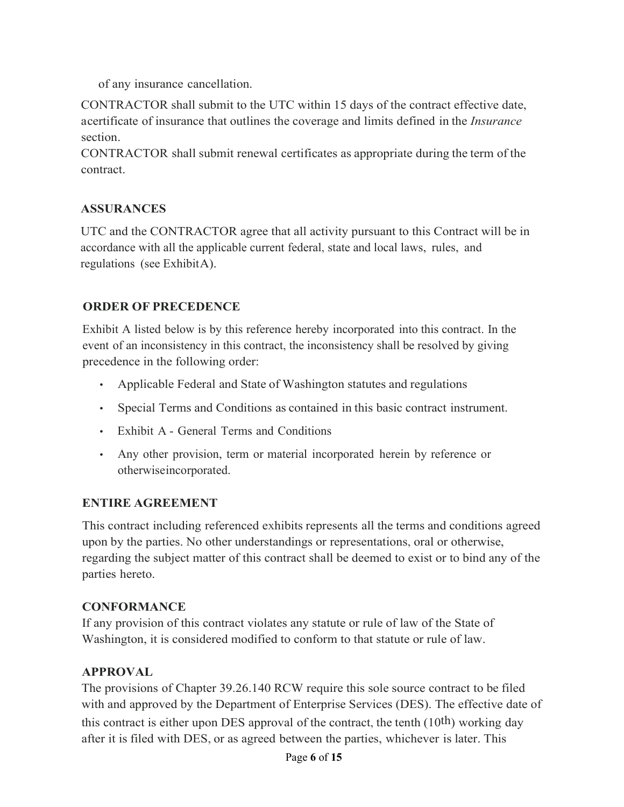of any insurance cancellation.

CONTRACTOR shall submit to the UTC within 15 days of the contract effective date, acertificate of insurance that outlines the coverage and limits defined in the *Insurance* section.

CONTRACTOR shall submit renewal certificates as appropriate during the term of the contract.

### **ASSURANCES**

UTC and the CONTRACTOR agree that all activity pursuant to this Contract will be in accordance with all the applicable current federal, state and local laws, rules, and regulations (see ExhibitA).

## **ORDER OF PRECEDENCE**

Exhibit A listed below is by this reference hereby incorporated into this contract. In the event of an inconsistency in this contract, the inconsistency shall be resolved by giving precedence in the following order:

- Applicable Federal and State of Washington statutes and regulations
- Special Terms and Conditions as contained in this basic contract instrument.
- Exhibit A General Terms and Conditions
- Any other provision, term or material incorporated herein by reference or otherwiseincorporated.

### **ENTIRE AGREEMENT**

This contract including referenced exhibits represents all the terms and conditions agreed upon by the parties. No other understandings or representations, oral or otherwise, regarding the subject matter of this contract shall be deemed to exist or to bind any of the parties hereto.

### **CONFORMANCE**

If any provision of this contract violates any statute or rule of law of the State of Washington, it is considered modified to conform to that statute or rule of law.

### **APPROVAL**

The provisions of Chapter 39.26.140 RCW require this sole source contract to be filed with and approved by the Department of Enterprise Services (DES). The effective date of this contract is either upon DES approval of the contract, the tenth  $(10<sup>th</sup>)$  working day after it is filed with DES, or as agreed between the parties, whichever is later. This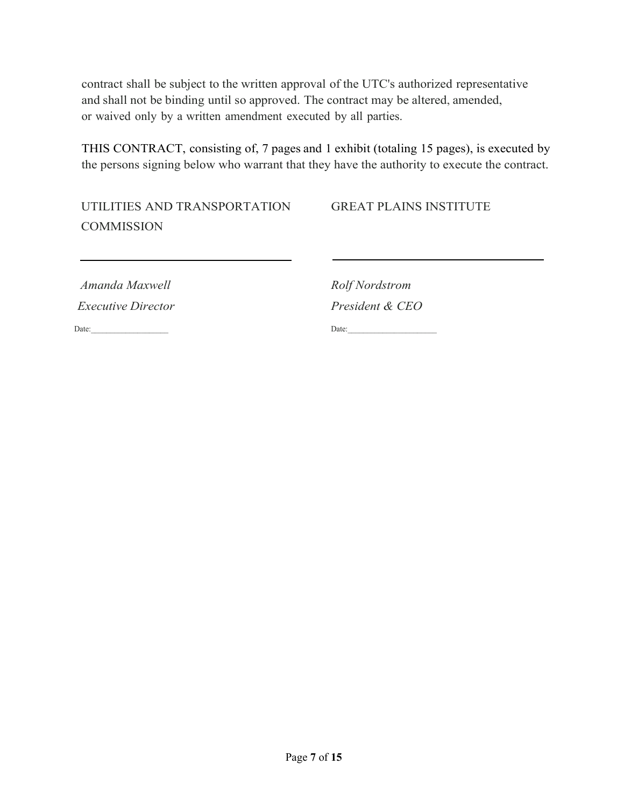contract shall be subject to the written approval of the UTC's authorized representative and shall not be binding until so approved. The contract may be altered, amended, or waived only by a written amendment executed by all parties.

THIS CONTRACT, consisting of, 7 pages and 1 exhibit (totaling 15 pages), is executed by the persons signing below who warrant that they have the authority to execute the contract.

UTILITIES AND TRANSPORTATION GREAT PLAINS INSTITUTE **COMMISSION** 

*Amanda Maxwell Rolf Nordstrom Executive Director President & CEO*

Date:\_\_\_\_\_\_\_\_\_\_\_\_\_\_\_\_\_\_\_\_ Date:\_\_\_\_\_\_\_\_\_\_\_\_\_\_\_\_\_\_\_\_\_\_\_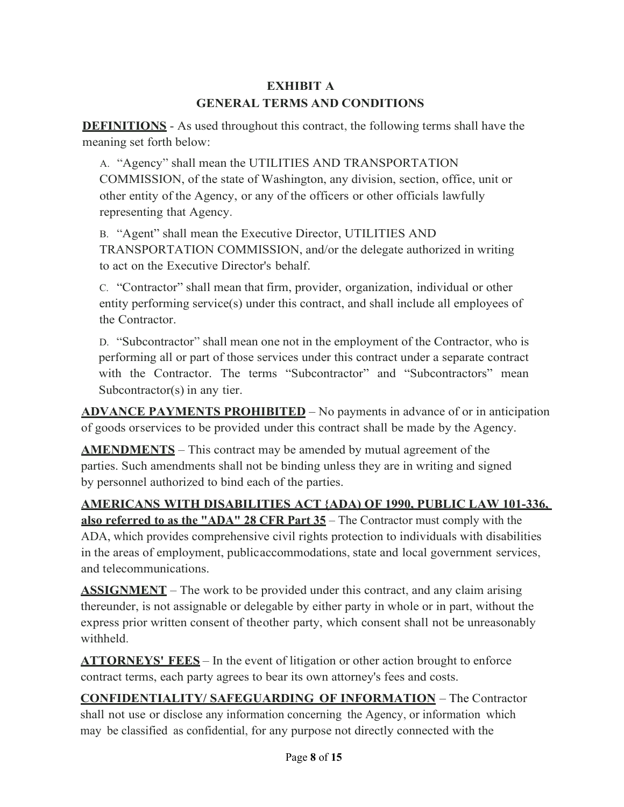# **EXHIBIT A GENERAL TERMS AND CONDITIONS**

**DEFINITIONS** - As used throughout this contract, the following terms shall have the meaning set forth below:

A. "Agency" shall mean the UTILITIES AND TRANSPORTATION COMMISSION, of the state of Washington, any division, section, office, unit or other entity of the Agency, or any of the officers or other officials lawfully representing that Agency.

B. "Agent" shall mean the Executive Director, UTILITIES AND TRANSPORTATION COMMISSION, and/or the delegate authorized in writing to act on the Executive Director's behalf.

C. "Contractor" shall mean that firm, provider, organization, individual or other entity performing service(s) under this contract, and shall include all employees of the Contractor.

D. "Subcontractor" shall mean one not in the employment of the Contractor, who is performing all or part of those services under this contract under a separate contract with the Contractor. The terms "Subcontractor" and "Subcontractors" mean Subcontractor(s) in any tier.

**ADVANCE PAYMENTS PROHIBITED** – No payments in advance of or in anticipation of goods orservices to be provided under this contract shall be made by the Agency.

**AMENDMENTS** – This contract may be amended by mutual agreement of the parties. Such amendments shall not be binding unless they are in writing and signed by personnel authorized to bind each of the parties.

**AMERICANS WITH DISABILITIES ACT {ADA) OF 1990, PUBLIC LAW 101-336,**

**also referred to as the "ADA" 28 CFR Part 35** – The Contractor must comply with the ADA, which provides comprehensive civil rights protection to individuals with disabilities in the areas of employment, publicaccommodations, state and local government services, and telecommunications.

**ASSIGNMENT** – The work to be provided under this contract, and any claim arising thereunder, is not assignable or delegable by either party in whole or in part, without the express prior written consent of theother party, which consent shall not be unreasonably withheld.

**ATTORNEYS' FEES** – In the event of litigation or other action brought to enforce contract terms, each party agrees to bear its own attorney's fees and costs.

**CONFIDENTIALITY/ SAFEGUARDING OF INFORMATION** – The Contractor shall not use or disclose any information concerning the Agency, or information which may be classified as confidential, for any purpose not directly connected with the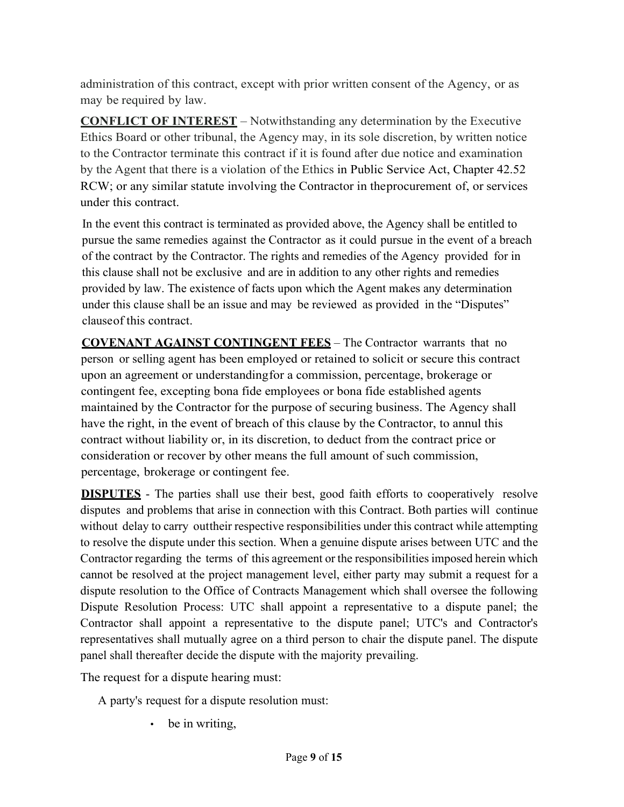administration of this contract, except with prior written consent of the Agency, or as may be required by law.

**CONFLICT OF INTEREST** – Notwithstanding any determination by the Executive Ethics Board or other tribunal, the Agency may, in its sole discretion, by written notice to the Contractor terminate this contract if it is found after due notice and examination by the Agent that there is a violation of the Ethics in Public Service Act, Chapter 42.52 RCW; or any similar statute involving the Contractor in theprocurement of, or services under this contract.

In the event this contract is terminated as provided above, the Agency shall be entitled to pursue the same remedies against the Contractor as it could pursue in the event of a breach of the contract by the Contractor. The rights and remedies of the Agency provided for in this clause shall not be exclusive and are in addition to any other rights and remedies provided by law. The existence of facts upon which the Agent makes any determination under this clause shall be an issue and may be reviewed as provided in the "Disputes" clauseof this contract.

**COVENANT AGAINST CONTINGENT FEES** – The Contractor warrants that no person or selling agent has been employed or retained to solicit or secure this contract upon an agreement or understandingfor a commission, percentage, brokerage or contingent fee, excepting bona fide employees or bona fide established agents maintained by the Contractor for the purpose of securing business. The Agency shall have the right, in the event of breach of this clause by the Contractor, to annul this contract without liability or, in its discretion, to deduct from the contract price or consideration or recover by other means the full amount of such commission, percentage, brokerage or contingent fee.

**DISPUTES** - The parties shall use their best, good faith efforts to cooperatively resolve disputes and problems that arise in connection with this Contract. Both parties will continue without delay to carry out their respective responsibilities under this contract while attempting to resolve the dispute under this section. When a genuine dispute arises between UTC and the Contractor regarding the terms of this agreement or the responsibilities imposed herein which cannot be resolved at the project management level, either party may submit a request for a dispute resolution to the Office of Contracts Management which shall oversee the following Dispute Resolution Process: UTC shall appoint a representative to a dispute panel; the Contractor shall appoint a representative to the dispute panel; UTC's and Contractor's representatives shall mutually agree on a third person to chair the dispute panel. The dispute panel shall thereafter decide the dispute with the majority prevailing.

The request for a dispute hearing must:

A party's request for a dispute resolution must:

• be in writing,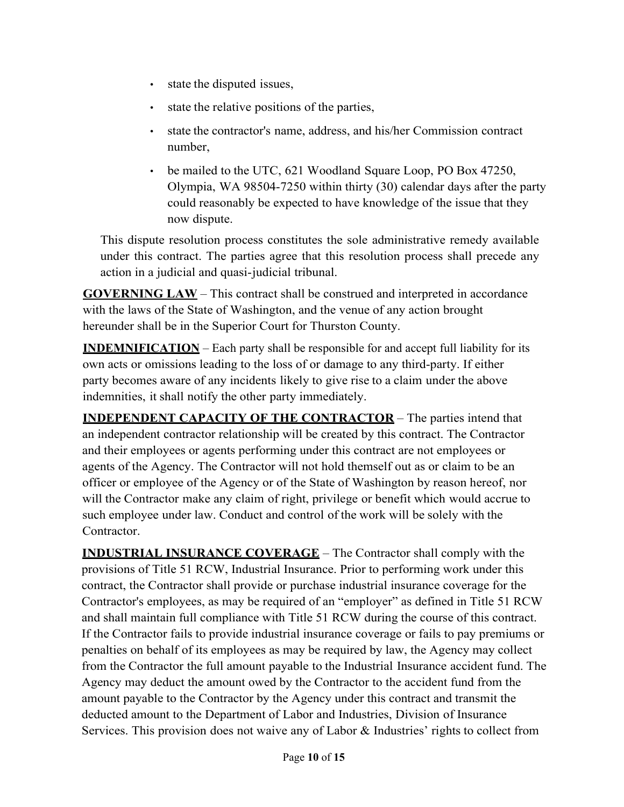- state the disputed issues,
- state the relative positions of the parties,
- state the contractor's name, address, and his/her Commission contract number,
- be mailed to the UTC, 621 Woodland Square Loop, PO Box 47250, Olympia, WA 98504-7250 within thirty (30) calendar days after the party could reasonably be expected to have knowledge of the issue that they now dispute.

This dispute resolution process constitutes the sole administrative remedy available under this contract. The parties agree that this resolution process shall precede any action in a judicial and quasi-judicial tribunal.

**GOVERNING LAW** – This contract shall be construed and interpreted in accordance with the laws of the State of Washington, and the venue of any action brought hereunder shall be in the Superior Court for Thurston County.

**INDEMNIFICATION** – Each party shall be responsible for and accept full liability for its own acts or omissions leading to the loss of or damage to any third-party. If either party becomes aware of any incidents likely to give rise to a claim under the above indemnities, it shall notify the other party immediately.

**INDEPENDENT CAPACITY OF THE CONTRACTOR** – The parties intend that an independent contractor relationship will be created by this contract. The Contractor and their employees or agents performing under this contract are not employees or agents of the Agency. The Contractor will not hold themself out as or claim to be an officer or employee of the Agency or of the State of Washington by reason hereof, nor will the Contractor make any claim of right, privilege or benefit which would accrue to such employee under law. Conduct and control of the work will be solely with the Contractor.

**INDUSTRIAL INSURANCE COVERAGE** – The Contractor shall comply with the provisions of Title 51 RCW, Industrial Insurance. Prior to performing work under this contract, the Contractor shall provide or purchase industrial insurance coverage for the Contractor's employees, as may be required of an "employer" as defined in Title 51 RCW and shall maintain full compliance with Title 51 RCW during the course of this contract. If the Contractor fails to provide industrial insurance coverage or fails to pay premiums or penalties on behalf of its employees as may be required by law, the Agency may collect from the Contractor the full amount payable to the Industrial Insurance accident fund. The Agency may deduct the amount owed by the Contractor to the accident fund from the amount payable to the Contractor by the Agency under this contract and transmit the deducted amount to the Department of Labor and Industries, Division of Insurance Services. This provision does not waive any of Labor & Industries' rights to collect from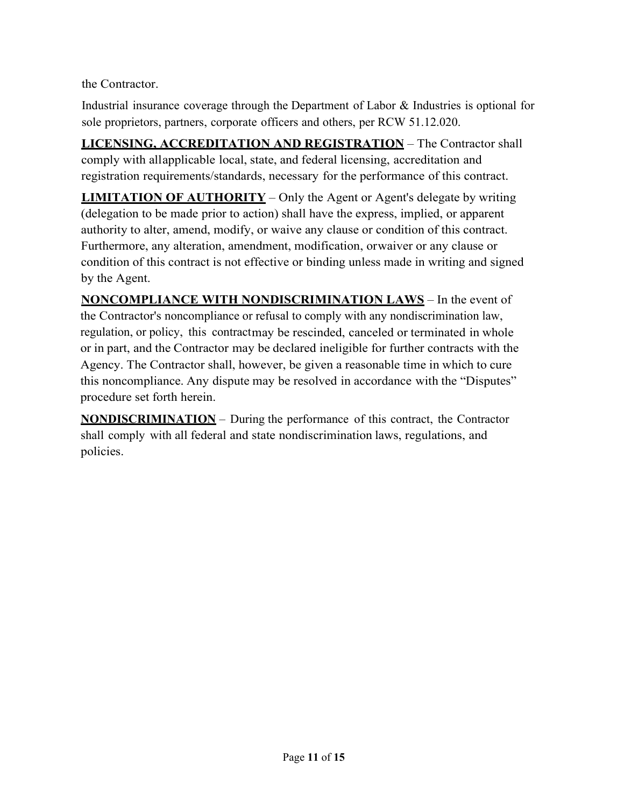the Contractor.

Industrial insurance coverage through the Department of Labor & Industries is optional for sole proprietors, partners, corporate officers and others, per RCW 51.12.020.

**LICENSING, ACCREDITATION AND REGISTRATION** – The Contractor shall comply with allapplicable local, state, and federal licensing, accreditation and registration requirements/standards, necessary for the performance of this contract.

**LIMITATION OF AUTHORITY** – Only the Agent or Agent's delegate by writing (delegation to be made prior to action) shall have the express, implied, or apparent authority to alter, amend, modify, or waive any clause or condition of this contract. Furthermore, any alteration, amendment, modification, orwaiver or any clause or condition of this contract is not effective or binding unless made in writing and signed by the Agent.

**NONCOMPLIANCE WITH NONDISCRIMINATION LAWS** – In the event of the Contractor's noncompliance or refusal to comply with any nondiscrimination law, regulation, or policy, this contractmay be rescinded, canceled or terminated in whole or in part, and the Contractor may be declared ineligible for further contracts with the Agency. The Contractor shall, however, be given a reasonable time in which to cure this noncompliance. Any dispute may be resolved in accordance with the "Disputes" procedure set forth herein.

**NONDISCRIMINATION** – During the performance of this contract, the Contractor shall comply with all federal and state nondiscrimination laws, regulations, and policies.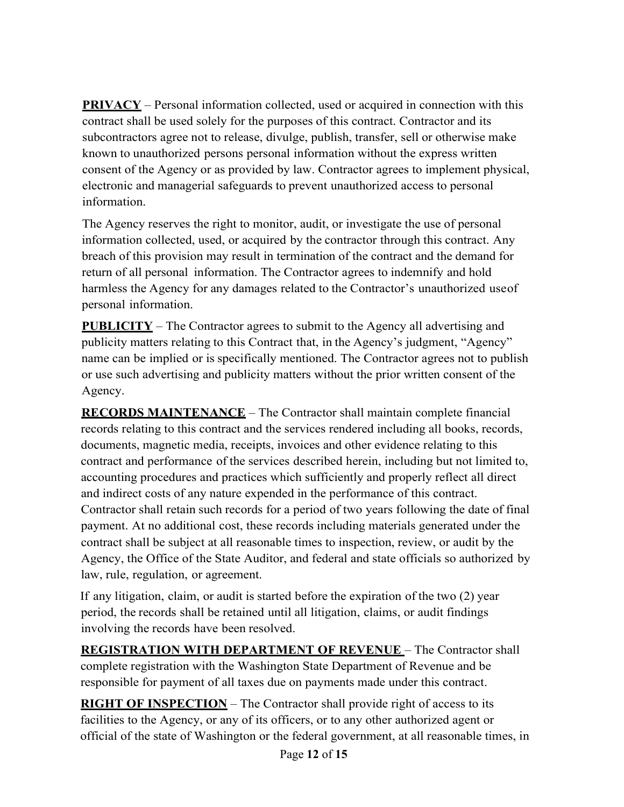**PRIVACY** – Personal information collected, used or acquired in connection with this contract shall be used solely for the purposes of this contract. Contractor and its subcontractors agree not to release, divulge, publish, transfer, sell or otherwise make known to unauthorized persons personal information without the express written consent of the Agency or as provided by law. Contractor agrees to implement physical, electronic and managerial safeguards to prevent unauthorized access to personal information.

The Agency reserves the right to monitor, audit, or investigate the use of personal information collected, used, or acquired by the contractor through this contract. Any breach of this provision may result in termination of the contract and the demand for return of all personal information. The Contractor agrees to indemnify and hold harmless the Agency for any damages related to the Contractor's unauthorized useof personal information.

**PUBLICITY** – The Contractor agrees to submit to the Agency all advertising and publicity matters relating to this Contract that, in the Agency's judgment, "Agency" name can be implied or is specifically mentioned. The Contractor agrees not to publish or use such advertising and publicity matters without the prior written consent of the Agency.

**RECORDS MAINTENANCE** – The Contractor shall maintain complete financial records relating to this contract and the services rendered including all books, records, documents, magnetic media, receipts, invoices and other evidence relating to this contract and performance of the services described herein, including but not limited to, accounting procedures and practices which sufficiently and properly reflect all direct and indirect costs of any nature expended in the performance of this contract. Contractor shall retain such records for a period of two years following the date of final payment. At no additional cost, these records including materials generated under the contract shall be subject at all reasonable times to inspection, review, or audit by the Agency, the Office of the State Auditor, and federal and state officials so authorized by law, rule, regulation, or agreement.

If any litigation, claim, or audit is started before the expiration of the two (2) year period, the records shall be retained until all litigation, claims, or audit findings involving the records have been resolved.

**REGISTRATION WITH DEPARTMENT OF REVENUE** – The Contractor shall complete registration with the Washington State Department of Revenue and be responsible for payment of all taxes due on payments made under this contract.

**RIGHT OF INSPECTION** – The Contractor shall provide right of access to its facilities to the Agency, or any of its officers, or to any other authorized agent or official of the state of Washington or the federal government, at all reasonable times, in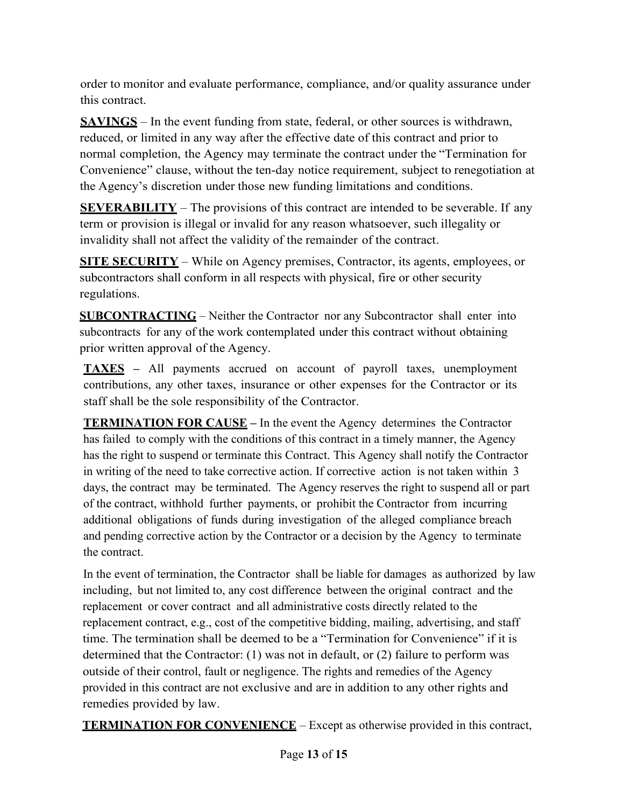order to monitor and evaluate performance, compliance, and/or quality assurance under this contract.

**SAVINGS** – In the event funding from state, federal, or other sources is withdrawn, reduced, or limited in any way after the effective date of this contract and prior to normal completion, the Agency may terminate the contract under the "Termination for Convenience" clause, without the ten-day notice requirement, subject to renegotiation at the Agency's discretion under those new funding limitations and conditions.

**SEVERABILITY** – The provisions of this contract are intended to be severable. If any term or provision is illegal or invalid for any reason whatsoever, such illegality or invalidity shall not affect the validity of the remainder of the contract.

**SITE SECURITY** – While on Agency premises, Contractor, its agents, employees, or subcontractors shall conform in all respects with physical, fire or other security regulations.

**SUBCONTRACTING** – Neither the Contractor nor any Subcontractor shall enter into subcontracts for any of the work contemplated under this contract without obtaining prior written approval of the Agency.

**TAXES –** All payments accrued on account of payroll taxes, unemployment contributions, any other taxes, insurance or other expenses for the Contractor or its staff shall be the sole responsibility of the Contractor.

**TERMINATION FOR CAUSE –** In the event the Agency determines the Contractor has failed to comply with the conditions of this contract in a timely manner, the Agency has the right to suspend or terminate this Contract. This Agency shall notify the Contractor in writing of the need to take corrective action. If corrective action is not taken within 3 days, the contract may be terminated. The Agency reserves the right to suspend all or part of the contract, withhold further payments, or prohibit the Contractor from incurring additional obligations of funds during investigation of the alleged compliance breach and pending corrective action by the Contractor or a decision by the Agency to terminate the contract.

In the event of termination, the Contractor shall be liable for damages as authorized by law including, but not limited to, any cost difference between the original contract and the replacement or cover contract and all administrative costs directly related to the replacement contract, e.g., cost of the competitive bidding, mailing, advertising, and staff time. The termination shall be deemed to be a "Termination for Convenience" if it is determined that the Contractor: (1) was not in default, or (2) failure to perform was outside of their control, fault or negligence. The rights and remedies of the Agency provided in this contract are not exclusive and are in addition to any other rights and remedies provided by law.

**TERMINATION FOR CONVENIENCE** – Except as otherwise provided in this contract,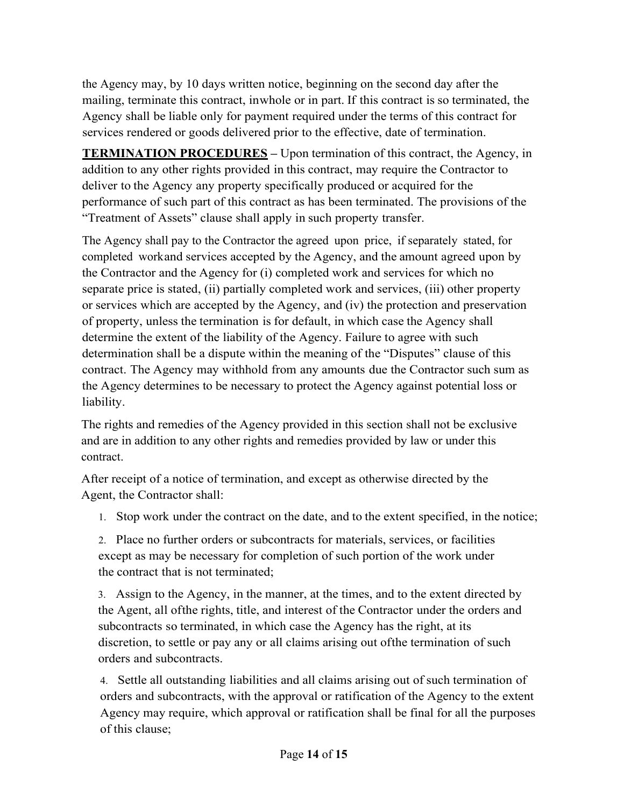the Agency may, by 10 days written notice, beginning on the second day after the mailing, terminate this contract, inwhole or in part. If this contract is so terminated, the Agency shall be liable only for payment required under the terms of this contract for services rendered or goods delivered prior to the effective, date of termination.

**TERMINATION PROCEDURES** – Upon termination of this contract, the Agency, in addition to any other rights provided in this contract, may require the Contractor to deliver to the Agency any property specifically produced or acquired for the performance of such part of this contract as has been terminated. The provisions of the "Treatment of Assets" clause shall apply in such property transfer.

The Agency shall pay to the Contractor the agreed upon price, if separately stated, for completed workand services accepted by the Agency, and the amount agreed upon by the Contractor and the Agency for (i) completed work and services for which no separate price is stated, (ii) partially completed work and services, (iii) other property or services which are accepted by the Agency, and (iv) the protection and preservation of property, unless the termination is for default, in which case the Agency shall determine the extent of the liability of the Agency. Failure to agree with such determination shall be a dispute within the meaning of the "Disputes" clause of this contract. The Agency may withhold from any amounts due the Contractor such sum as the Agency determines to be necessary to protect the Agency against potential loss or liability.

The rights and remedies of the Agency provided in this section shall not be exclusive and are in addition to any other rights and remedies provided by law or under this contract.

After receipt of a notice of termination, and except as otherwise directed by the Agent, the Contractor shall:

1. Stop work under the contract on the date, and to the extent specified, in the notice;

2. Place no further orders or subcontracts for materials, services, or facilities except as may be necessary for completion of such portion of the work under the contract that is not terminated;

3. Assign to the Agency, in the manner, at the times, and to the extent directed by the Agent, all ofthe rights, title, and interest of the Contractor under the orders and subcontracts so terminated, in which case the Agency has the right, at its discretion, to settle or pay any or all claims arising out ofthe termination of such orders and subcontracts.

4. Settle all outstanding liabilities and all claims arising out of such termination of orders and subcontracts, with the approval or ratification of the Agency to the extent Agency may require, which approval or ratification shall be final for all the purposes of this clause;